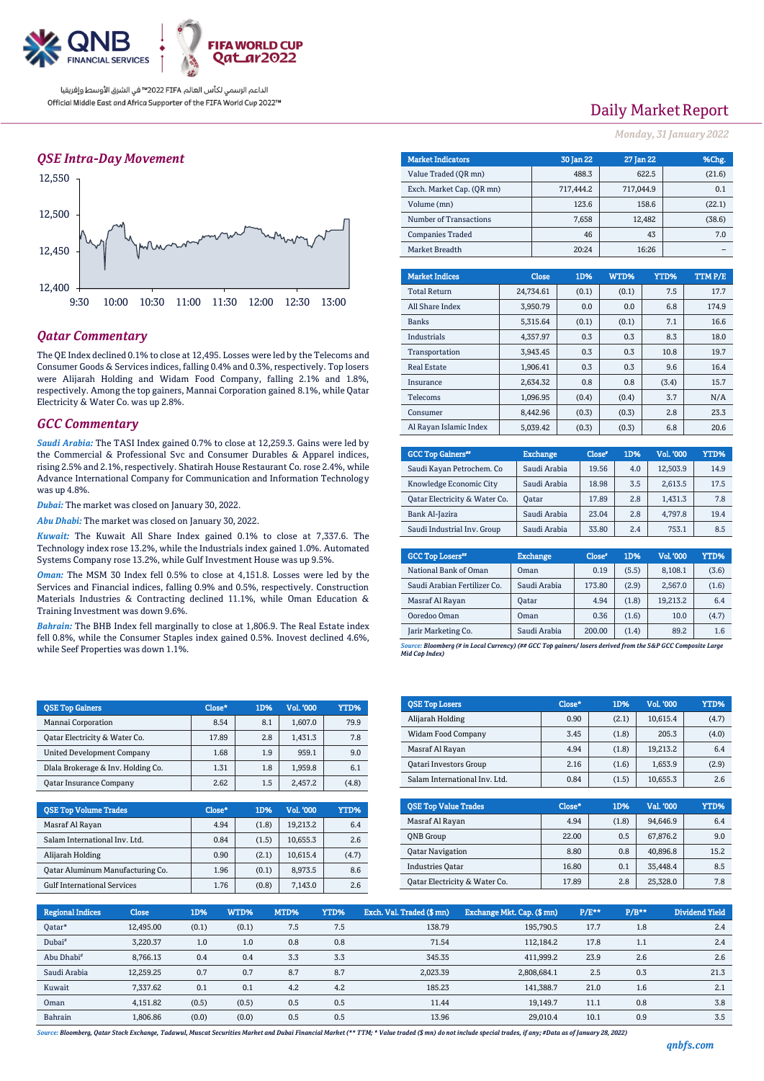

الداعم الرسمي لكأس العالم PIFA™ في الشرق الأوسط وإفريقيا Official Middle East and Africa Supporter of the FIFA World Cup 2022™

## *QSE Intra-Day Movement*



## *Qatar Commentary*

The QE Index declined 0.1% to close at 12,495. Losses were led by the Telecoms and Consumer Goods & Services indices, falling 0.4% and 0.3%, respectively. Top losers were Alijarah Holding and Widam Food Company, falling 2.1% and 1.8%, respectively. Among the top gainers, Mannai Corporation gained 8.1%, while Qatar Electricity & Water Co. was up 2.8%.

#### *GCC Commentary*

*Saudi Arabia:* The TASI Index gained 0.7% to close at 12,259.3. Gains were led by the Commercial & Professional Svc and Consumer Durables & Apparel indices, rising 2.5% and 2.1%, respectively. Shatirah House Restaurant Co. rose 2.4%, while Advance International Company for Communication and Information Technology was up 4.8%.

*Dubai:* The market was closed on January 30, 2022.

*Abu Dhabi:* The market was closed on January 30, 2022.

*Kuwait:* The Kuwait All Share Index gained 0.1% to close at 7,337.6. The Technology index rose 13.2%, while the Industrials index gained 1.0%. Automated Systems Company rose 13.2%, while Gulf Investment House was up 9.5%.

*Oman:* The MSM 30 Index fell 0.5% to close at 4,151.8. Losses were led by the Services and Financial indices, falling 0.9% and 0.5%, respectively. Construction Materials Industries & Contracting declined 11.1%, while Oman Education & Training Investment was down 9.6%.

*Bahrain:* The BHB Index fell marginally to close at 1,806.9. The Real Estate index fell 0.8%, while the Consumer Staples index gained 0.5%. Inovest declined 4.6%, while Seef Properties was down 1.1%.

| <b>QSE Top Gainers</b>             | Close* | 1D% | Vol. '000 | YTD%  |
|------------------------------------|--------|-----|-----------|-------|
| Mannai Corporation                 | 8.54   | 8.1 | 1,607.0   | 79.9  |
| Qatar Electricity & Water Co.      | 17.89  | 2.8 | 1.431.3   | 7.8   |
| <b>United Development Company</b>  | 1.68   | 1.9 | 959.1     | 9.0   |
| Dlala Brokerage & Inv. Holding Co. | 1.31   | 1.8 | 1.959.8   | 6.1   |
| <b>Qatar Insurance Company</b>     | 2.62   | 1.5 | 2,457.2   | (4.8) |

| <b>OSE Top Volume Trades</b>       | Close* | 1D <sub>%</sub> | Vol. '000 | YTD%  |
|------------------------------------|--------|-----------------|-----------|-------|
| Masraf Al Rayan                    | 4.94   | (1.8)           | 19.213.2  | 6.4   |
| Salam International Inv. Ltd.      | 0.84   | (1.5)           | 10.655.3  | 2.6   |
| Alijarah Holding                   | 0.90   | (2.1)           | 10.615.4  | (4.7) |
| Oatar Aluminum Manufacturing Co.   | 1.96   | (0.1)           | 8.973.5   | 8.6   |
| <b>Gulf International Services</b> | 1.76   | (0.8)           | 7.143.0   | 2.6   |

## Daily Market Report

*Monday, 31 January 2022*

| <b>Market Indicators</b>  |  |           | <b>30 Jan 22</b> | 27 Jan 22 |        |      | %Chg.  |
|---------------------------|--|-----------|------------------|-----------|--------|------|--------|
| Value Traded (OR mn)      |  |           | 488.3            |           | 622.5  |      | (21.6) |
| Exch. Market Cap. (QR mn) |  |           | 717,444.2        | 717,044.9 |        |      | 0.1    |
| Volume (mn)               |  |           | 123.6            |           | 158.6  |      | (22.1) |
| Number of Transactions    |  |           | 7,658            |           | 12,482 |      | (38.6) |
| <b>Companies Traded</b>   |  |           | 46               |           | 43     |      | 7.0    |
| Market Breadth            |  |           | 20:24            | 16:26     |        |      |        |
|                           |  |           |                  |           |        |      |        |
| <b>Market Indices</b>     |  | Close     | 1D%              | WTD%      |        | YTD% | TTMP/E |
| <b>Total Return</b>       |  | 24,734.61 | (0.1)            | (0.1)     |        | 7.5  | 17.7   |
| All Share Index           |  | 3,950.79  | 0.0              | 0.0       |        | 6.8  | 174.9  |
| <b>Banks</b>              |  | 5,315.64  | (0.1)            | (0.1)     |        | 7.1  | 16.6   |
| <b>Industrials</b>        |  | 4,357.97  | 0.3              | 0.3       |        | 8.3  | 18.0   |
| Transportation            |  | 3,943.45  | 0.3              | 0.3       |        | 10.8 | 19.7   |
| <b>Real Estate</b>        |  | 1,906.41  | 0.3              | 0.3       |        | 9.6  | 16.4   |

| Insurance              | 2.634.32 | 0.8   | 0.8   | (3.4) | 15.7 |
|------------------------|----------|-------|-------|-------|------|
| Telecoms               | 1.096.95 | (0.4) | (0.4) | 3.7   | N/A  |
| Consumer               | 8.442.96 | (0.3) | (0.3) | 2.8   | 23.3 |
| Al Rayan Islamic Index | 5.039.42 | (0.3) | (0.3) | 6.8   | 20.6 |
|                        |          |       |       |       |      |

| <b>GCC Top Gainers**</b>      | <b>Exchange</b> | Close <sup>®</sup> | 1D% | Vol. '000 | YTD% |
|-------------------------------|-----------------|--------------------|-----|-----------|------|
| Saudi Kayan Petrochem. Co     | Saudi Arabia    | 19.56              | 4.0 | 12,503.9  | 14.9 |
| Knowledge Economic City       | Saudi Arabia    | 18.98              | 3.5 | 2,613.5   | 17.5 |
| Oatar Electricity & Water Co. | Oatar           | 17.89              | 2.8 | 1.431.3   | 7.8  |
| Bank Al-Jazira                | Saudi Arabia    | 23.04              | 2.8 | 4,797.8   | 19.4 |
| Saudi Industrial Inv. Group   | Saudi Arabia    | 33.80              | 2.4 | 753.1     | 8.5  |

| <b>GCC Top Losers</b> "      | <b>Exchange</b> | Close <sup>®</sup> | 1D%   | Vol. '000 | YTD%  |
|------------------------------|-----------------|--------------------|-------|-----------|-------|
| National Bank of Oman        | Oman            | 0.19               | (5.5) | 8,108.1   | (3.6) |
| Saudi Arabian Fertilizer Co. | Saudi Arabia    | 173.80             | (2.9) | 2.567.0   | (1.6) |
| Masraf Al Rayan              | Oatar           | 4.94               | (1.8) | 19.213.2  | 6.4   |
| Ooredoo Oman                 | Oman            | 0.36               | (1.6) | 10.0      | (4.7) |
| Jarir Marketing Co.          | Saudi Arabia    | 200.00             | (1.4) | 89.2      | 1.6   |

*Source: Bloomberg (# in Local Currency) (## GCC Top gainers/ losers derived from the S&P GCC Composite Large Mid Cap Index)*

| <b>OSE Top Losers</b>         | $Close*$ | 1D%   | <b>Vol. '000</b> | YTD%  |
|-------------------------------|----------|-------|------------------|-------|
| Alijarah Holding              | 0.90     | (2.1) | 10.615.4         | (4.7) |
| Widam Food Company            | 3.45     | (1.8) | 205.3            | (4.0) |
| Masraf Al Rayan               | 4.94     | (1.8) | 19.213.2         | 6.4   |
| <b>Qatari Investors Group</b> | 2.16     | (1.6) | 1.653.9          | (2.9) |
| Salam International Inv. Ltd. | 0.84     | (1.5) | 10,655.3         | 2.6   |

| <b>OSE Top Value Trades</b>   | Close* | 1D%   | Val. '000 | YTD% |
|-------------------------------|--------|-------|-----------|------|
| Masraf Al Rayan               | 4.94   | (1.8) | 94.646.9  | 6.4  |
| <b>ONB</b> Group              | 22.00  | 0.5   | 67,876.2  | 9.0  |
| <b>Qatar Navigation</b>       | 8.80   | 0.8   | 40.896.8  | 15.2 |
| <b>Industries Oatar</b>       | 16.80  | 0.1   | 35.448.4  | 8.5  |
| Oatar Electricity & Water Co. | 17.89  | 2.8   | 25,328.0  | 7.8  |

| <b>Regional Indices</b> | <b>Close</b> | 1D%   | WTD%  | MTD% | YTD% | Exch. Val. Traded (\$ mn) | Exchange Mkt. Cap. (\$ mn) | $P/E***$ | $P/B**$ | Dividend Yield |
|-------------------------|--------------|-------|-------|------|------|---------------------------|----------------------------|----------|---------|----------------|
| Qatar*                  | 12.495.00    | (0.1) | (0.1) | 7.5  | 7.5  | 138.79                    | 195.790.5                  | 17.7     | 1.8     | 2.4            |
| Dubai <sup>#</sup>      | 3.220.37     | 1.0   | 1.0   | 0.8  | 0.8  | 71.54                     | 112.184.2                  | 17.8     | 1.1     | 2.4            |
| Abu Dhabi <sup>#</sup>  | 8,766.13     | 0.4   | 0.4   | 3.3  | 3.3  | 345.35                    | 411.999.2                  | 23.9     | 2.6     | 2.6            |
| Saudi Arabia            | 12.259.25    | 0.7   | 0.7   | 8.7  | 8.7  | 2,023.39                  | 2,808,684.1                | 2.5      | 0.3     | 21.3           |
| Kuwait                  | 7.337.62     | 0.1   | 0.1   | 4.2  | 4.2  | 185.23                    | 141.388.7                  | 21.0     | 1.6     | 2.1            |
| Oman                    | 4,151.82     | (0.5) | (0.5) | 0.5  | 0.5  | 11.44                     | 19.149.7                   | 11.1     | 0.8     | 3.8            |
| Bahrain                 | 1.806.86     | (0.0) | (0.0) | 0.5  | 0.5  | 13.96                     | 29,010.4                   | 10.1     | 0.9     | 3.5            |

*Source: Bloomberg, Qatar Stock Exchange, Tadawul, Muscat Securities Market and Dubai Financial Market (\*\* TTM; \* Value traded (\$ mn) do not include special trades, if any; #Data as of January 28, 2022)*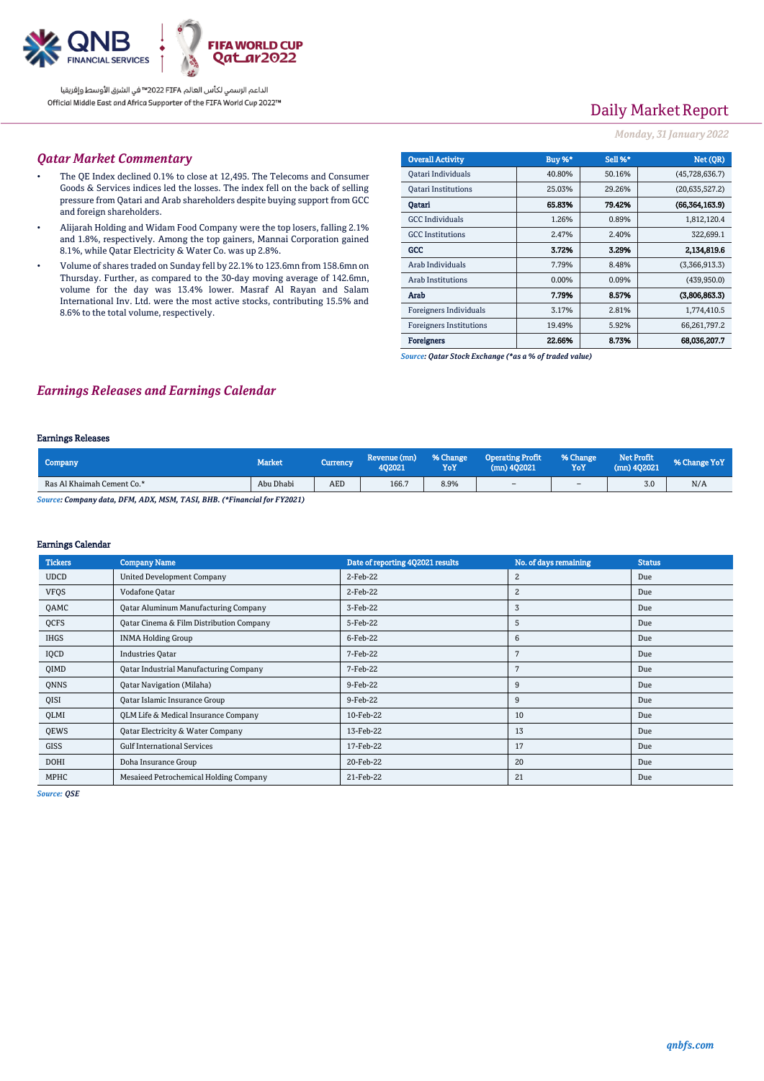

الداعم الرسمي لكأس العالم PIFA™ في الشرق الأوسط وإفريقيا Official Middle East and Africa Supporter of the FIFA World Cup 2022™

# Daily Market Report

### *Monday, 31 January 2022*

## *Qatar Market Commentary*

- The QE Index declined 0.1% to close at 12,495. The Telecoms and Consumer Goods & Services indices led the losses. The index fell on the back of selling pressure from Qatari and Arab shareholders despite buying support from GCC and foreign shareholders.
- Alijarah Holding and Widam Food Company were the top losers, falling 2.1% and 1.8%, respectively. Among the top gainers, Mannai Corporation gained 8.1%, while Qatar Electricity & Water Co. was up 2.8%.
- Volume of shares traded on Sunday fell by 22.1% to 123.6mn from 158.6mn on Thursday. Further, as compared to the 30-day moving average of 142.6mn, volume for the day was 13.4% lower. Masraf Al Rayan and Salam International Inv. Ltd. were the most active stocks, contributing 15.5% and 8.6% to the total volume, respectively.

| <b>Overall Activity</b>        | Buy %*   | <b>Sell %*</b> | Net (OR)       |
|--------------------------------|----------|----------------|----------------|
| Qatari Individuals             | 40.80%   | 50.16%         | (45,728,636.7) |
| <b>Qatari Institutions</b>     | 25.03%   | 29.26%         | (20,635,527.2) |
| Oatari                         | 65.83%   | 79.42%         | (66,364,163.9) |
| <b>GCC</b> Individuals         | 1.26%    | 0.89%          | 1,812,120.4    |
| <b>GCC</b> Institutions        | 2.47%    | 2.40%          | 322,699.1      |
| GCC                            | 3.72%    | 3.29%          | 2.134.819.6    |
| Arab Individuals               | 7.79%    | 8.48%          | (3,366,913.3)  |
| <b>Arab Institutions</b>       | $0.00\%$ | 0.09%          | (439, 950.0)   |
| Arab                           | 7.79%    | 8.57%          | (3,806,863.3)  |
| Foreigners Individuals         | 3.17%    | 2.81%          | 1,774,410.5    |
| <b>Foreigners Institutions</b> | 19.49%   | 5.92%          | 66,261,797.2   |
| <b>Foreigners</b>              | 22.66%   | 8.73%          | 68,036,207.7   |

*Source: Qatar Stock Exchange (\*as a % of traded value)*

## *Earnings Releases and Earnings Calendar*

#### Earnings Releases

| Company                    | Market,   | Currency   | Revenue (mn)<br>402021 | % Change<br>YoY | <b>Operating Profit</b><br>$(mn)$ 402021 | % Change<br>YoY | <b>Net Profit</b><br>(mn) 402021 | % Change YoY |
|----------------------------|-----------|------------|------------------------|-----------------|------------------------------------------|-----------------|----------------------------------|--------------|
| Ras Al Khaimah Cement Co.* | Abu Dhabi | <b>AED</b> | 166.7                  | 8.9%            | $\sim$                                   | $\sim$          | 3.0                              | N/A          |

*Source: Company data, DFM, ADX, MSM, TASI, BHB. (\*Financial for FY2021)*

#### Earnings Calendar

| <b>Tickers</b> | <b>Company Name</b>                           | Date of reporting 4Q2021 results | No. of days remaining | <b>Status</b> |
|----------------|-----------------------------------------------|----------------------------------|-----------------------|---------------|
| <b>UDCD</b>    | <b>United Development Company</b>             | 2-Feb-22                         | $\overline{2}$        | Due           |
| <b>VFQS</b>    | Vodafone Qatar                                | 2-Feb-22                         | 2                     | Due           |
| QAMC           | <b>Qatar Aluminum Manufacturing Company</b>   | 3-Feb-22                         | 3                     | Due           |
| QCFS           | Qatar Cinema & Film Distribution Company      | 5-Feb-22                         | 5                     | Due           |
| <b>IHGS</b>    | <b>INMA Holding Group</b>                     | 6-Feb-22                         | 6                     | Due           |
| IQCD           | <b>Industries Qatar</b>                       | 7-Feb-22                         | 7                     | Due           |
| QIMD           | <b>Qatar Industrial Manufacturing Company</b> | 7-Feb-22                         |                       | Due           |
| QNNS           | <b>Qatar Navigation (Milaha)</b>              | 9-Feb-22                         | 9                     | Due           |
| QISI           | Qatar Islamic Insurance Group                 | 9-Feb-22                         | 9                     | Due           |
| QLMI           | QLM Life & Medical Insurance Company          | 10-Feb-22                        | 10                    | Due           |
| QEWS           | Qatar Electricity & Water Company             | 13-Feb-22                        | 13                    | Due           |
| <b>GISS</b>    | <b>Gulf International Services</b>            | 17-Feb-22                        | 17                    | Due           |
| DOHI           | Doha Insurance Group                          | 20-Feb-22                        | 20                    | Due           |
| MPHC           | Mesaieed Petrochemical Holding Company        | 21-Feb-22                        | 21                    | Due           |

*Source: QSE*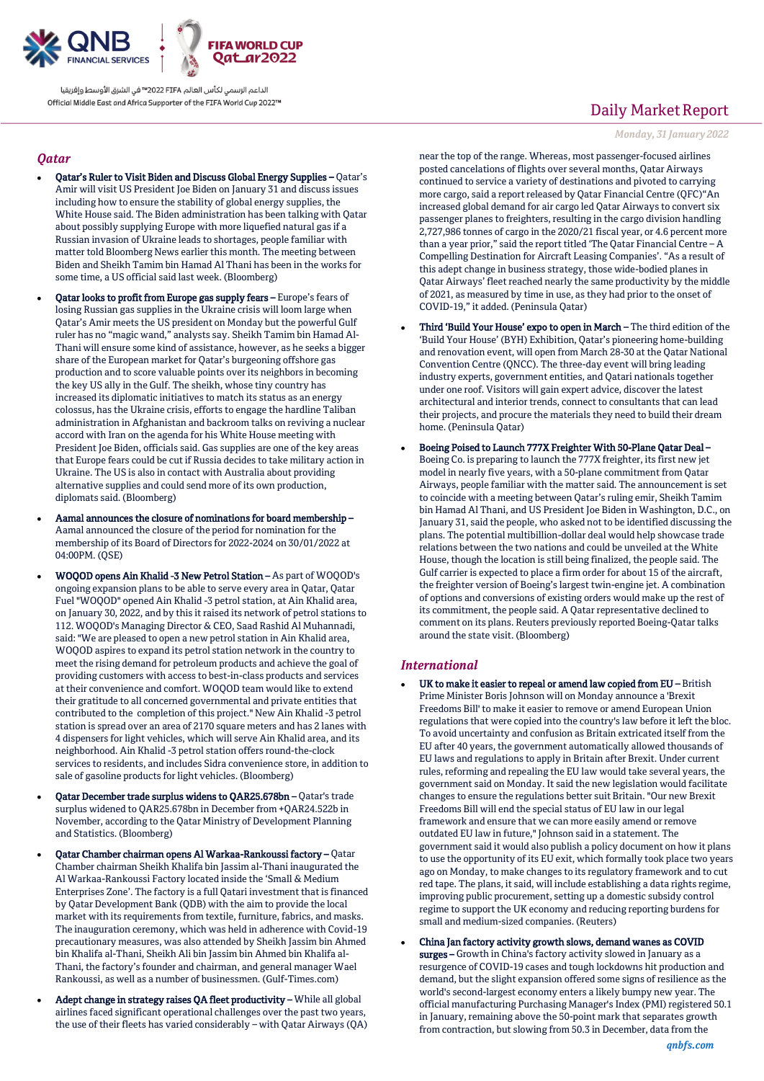

الداعم الرسمى لكأس العالم PIFA™ في الشرق الأوسط وإفريقيا Official Middle East and Africa Supporter of the FIFA World Cup 2022™

### *Qatar*

- Qatar's Ruler to Visit Biden and Discuss Global Energy Supplies Qatar's Amir will visit US President Joe Biden on January 31 and discuss issues including how to ensure the stability of global energy supplies, the White House said. The Biden administration has been talking with Qatar about possibly supplying Europe with more liquefied natural gas if a Russian invasion of Ukraine leads to shortages, people familiar with matter told Bloomberg News earlier this month. The meeting between Biden and Sheikh Tamim bin Hamad Al Thani has been in the works for some time, a US official said last week. (Bloomberg)
- Qatar looks to profit from Europe gas supply fears Europe's fears of losing Russian gas supplies in the Ukraine crisis will loom large when Qatar's Amir meets the US president on Monday but the powerful Gulf ruler has no "magic wand," analysts say. Sheikh Tamim bin Hamad Al-Thani will ensure some kind of assistance, however, as he seeks a bigger share of the European market for Qatar's burgeoning offshore gas production and to score valuable points over its neighbors in becoming the key US ally in the Gulf. The sheikh, whose tiny country has increased its diplomatic initiatives to match its status as an energy colossus, has the Ukraine crisis, efforts to engage the hardline Taliban administration in Afghanistan and backroom talks on reviving a nuclear accord with Iran on the agenda for his White House meeting with President Joe Biden, officials said. Gas supplies are one of the key areas that Europe fears could be cut if Russia decides to take military action in Ukraine. The US is also in contact with Australia about providing alternative supplies and could send more of its own production, diplomats said. (Bloomberg)
- Aamal announces the closure of nominations for board membership Aamal announced the closure of the period for nomination for the membership of its Board of Directors for 2022-2024 on 30/01/2022 at 04:00PM. (QSE)
- WOQOD opens Ain Khalid -3 New Petrol Station As part of WOQOD's ongoing expansion plans to be able to serve every area in Qatar, Qatar Fuel "WOQOD" opened Ain Khalid -3 petrol station, at Ain Khalid area, on January 30, 2022, and by this it raised its network of petrol stations to 112. WOQOD's Managing Director & CEO, Saad Rashid Al Muhannadi, said: "We are pleased to open a new petrol station in Ain Khalid area, WOQOD aspires to expand its petrol station network in the country to meet the rising demand for petroleum products and achieve the goal of providing customers with access to best-in-class products and services at their convenience and comfort. WOQOD team would like to extend their gratitude to all concerned governmental and private entities that contributed to the completion of this project." New Ain Khalid -3 petrol station is spread over an area of 2170 square meters and has 2 lanes with 4 dispensers for light vehicles, which will serve Ain Khalid area, and its neighborhood. Ain Khalid -3 petrol station offers round-the-clock services to residents, and includes Sidra convenience store, in addition to sale of gasoline products for light vehicles. (Bloomberg)
- Qatar December trade surplus widens to QAR25.678bn Qatar's trade surplus widened to QAR25.678bn in December from +QAR24.522b in November, according to the Qatar Ministry of Development Planning and Statistics. (Bloomberg)
- Qatar Chamber chairman opens Al Warkaa-Rankoussi factory Qatar Chamber chairman Sheikh Khalifa bin Jassim al-Thani inaugurated the Al Warkaa-Rankoussi Factory located inside the 'Small & Medium Enterprises Zone'. The factory is a full Qatari investment that is financed by Qatar Development Bank (QDB) with the aim to provide the local market with its requirements from textile, furniture, fabrics, and masks. The inauguration ceremony, which was held in adherence with Covid-19 precautionary measures, was also attended by Sheikh Jassim bin Ahmed bin Khalifa al-Thani, Sheikh Ali bin Jassim bin Ahmed bin Khalifa al-Thani, the factory's founder and chairman, and general manager Wael Rankoussi, as well as a number of businessmen. (Gulf-Times.com)
- Adept change in strategy raises QA fleet productivity While all global airlines faced significant operational challenges over the past two years, the use of their fleets has varied considerably – with Qatar Airways (QA)

## Daily Market Report

*Monday, 31 January 2022*

near the top of the range. Whereas, most passenger-focused airlines posted cancelations of flights over several months, Qatar Airways continued to service a variety of destinations and pivoted to carrying more cargo, said a report released by Qatar Financial Centre (QFC)"An increased global demand for air cargo led Qatar Airways to convert six passenger planes to freighters, resulting in the cargo division handling 2,727,986 tonnes of cargo in the 2020/21 fiscal year, or 4.6 percent more than a year prior," said the report titled 'The Qatar Financial Centre – A Compelling Destination for Aircraft Leasing Companies'. "As a result of this adept change in business strategy, those wide-bodied planes in Qatar Airways' fleet reached nearly the same productivity by the middle of 2021, as measured by time in use, as they had prior to the onset of COVID-19," it added. (Peninsula Qatar)

- Third 'Build Your House' expo to open in March The third edition of the 'Build Your House' (BYH) Exhibition, Qatar's pioneering home-building and renovation event, will open from March 28-30 at the Qatar National Convention Centre (QNCC). The three-day event will bring leading industry experts, government entities, and Qatari nationals together under one roof. Visitors will gain expert advice, discover the latest architectural and interior trends, connect to consultants that can lead their projects, and procure the materials they need to build their dream home. (Peninsula Qatar)
- Boeing Poised to Launch 777X Freighter With 50-Plane Qatar Deal Boeing Co. is preparing to launch the 777X freighter, its first new jet model in nearly five years, with a 50-plane commitment from Qatar Airways, people familiar with the matter said. The announcement is set to coincide with a meeting between Qatar's ruling emir, Sheikh Tamim bin Hamad Al Thani, and US President Joe Biden in Washington, D.C., on January 31, said the people, who asked not to be identified discussing the plans. The potential multibillion-dollar deal would help showcase trade relations between the two nations and could be unveiled at the White House, though the location is still being finalized, the people said. The Gulf carrier is expected to place a firm order for about 15 of the aircraft, the freighter version of Boeing's largest twin-engine jet. A combination of options and conversions of existing orders would make up the rest of its commitment, the people said. A Qatar representative declined to comment on its plans. Reuters previously reported Boeing-Qatar talks around the state visit. (Bloomberg)

## *International*

- UK to make it easier to repeal or amend law copied from EU British Prime Minister Boris Johnson will on Monday announce a 'Brexit Freedoms Bill' to make it easier to remove or amend European Union regulations that were copied into the country's law before it left the bloc. To avoid uncertainty and confusion as Britain extricated itself from the EU after 40 years, the government automatically allowed thousands of EU laws and regulations to apply in Britain after Brexit. Under current rules, reforming and repealing the EU law would take several years, the government said on Monday. It said the new legislation would facilitate changes to ensure the regulations better suit Britain. "Our new Brexit Freedoms Bill will end the special status of EU law in our legal framework and ensure that we can more easily amend or remove outdated EU law in future," Johnson said in a statement. The government said it would also publish a policy document on how it plans to use the opportunity of its EU exit, which formally took place two years ago on Monday, to make changes to its regulatory framework and to cut red tape. The plans, it said, will include establishing a data rights regime, improving public procurement, setting up a domestic subsidy control regime to support the UK economy and reducing reporting burdens for small and medium-sized companies. (Reuters)
- China Jan factory activity growth slows, demand wanes as COVID surges - Growth in China's factory activity slowed in January as a resurgence of COVID-19 cases and tough lockdowns hit production and demand, but the slight expansion offered some signs of resilience as the world's second-largest economy enters a likely bumpy new year. The official manufacturing Purchasing Manager's Index (PMI) registered 50.1 in January, remaining above the 50-point mark that separates growth from contraction, but slowing from 50.3 in December, data from the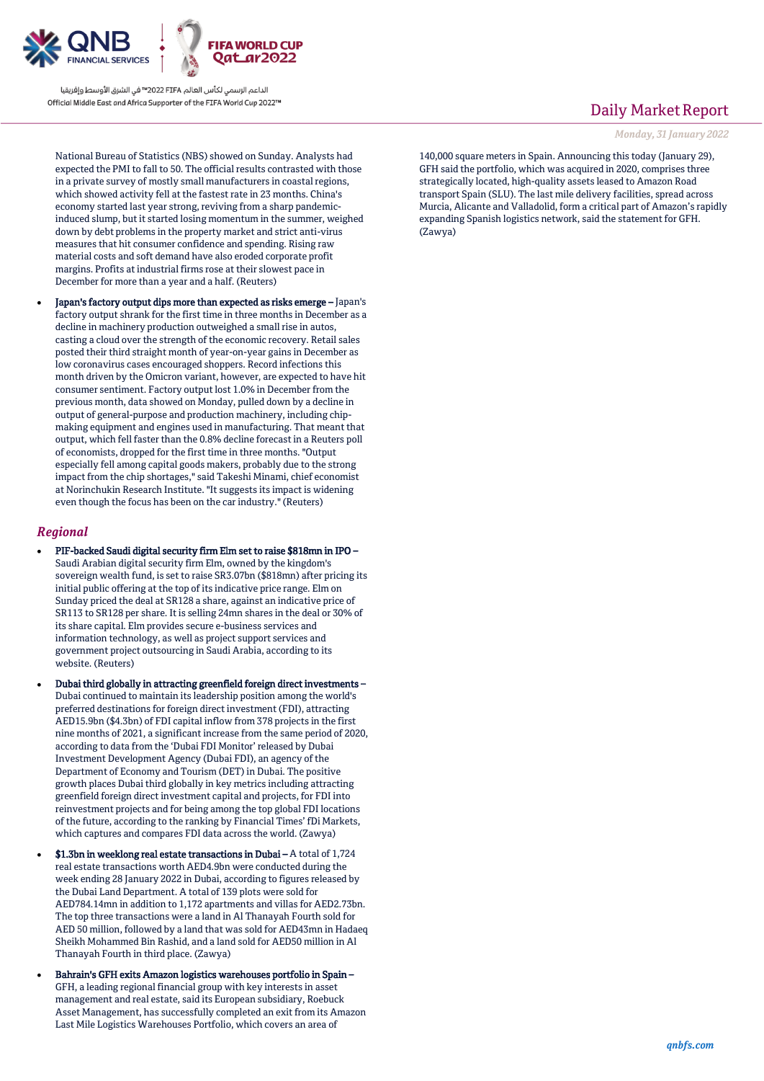

الداعم الرسمي لكأس العالم PIFA≤™ في الشرق الأوسط وإفريقيا Official Middle East and Africa Supporter of the FIFA World Cup 2022™

National Bureau of Statistics (NBS) showed on Sunday. Analysts had expected the PMI to fall to 50. The official results contrasted with those in a private survey of mostly small manufacturers in coastal regions, which showed activity fell at the fastest rate in 23 months. China's economy started last year strong, reviving from a sharp pandemicinduced slump, but it started losing momentum in the summer, weighed down by debt problems in the property market and strict anti-virus measures that hit consumer confidence and spending. Rising raw material costs and soft demand have also eroded corporate profit margins. Profits at industrial firms rose at their slowest pace in December for more than a year and a half. (Reuters)

 Japan's factory output dips more than expected as risks emerge – Japan's factory output shrank for the first time in three months in December as a decline in machinery production outweighed a small rise in autos, casting a cloud over the strength of the economic recovery. Retail sales posted their third straight month of year-on-year gains in December as low coronavirus cases encouraged shoppers. Record infections this month driven by the Omicron variant, however, are expected to have hit consumer sentiment. Factory output lost 1.0% in December from the previous month, data showed on Monday, pulled down by a decline in output of general-purpose and production machinery, including chipmaking equipment and engines used in manufacturing. That meant that output, which fell faster than the 0.8% decline forecast in a Reuters poll of economists, dropped for the first time in three months. "Output especially fell among capital goods makers, probably due to the strong impact from the chip shortages," said Takeshi Minami, chief economist at Norinchukin Research Institute. "It suggests its impact is widening even though the focus has been on the car industry." (Reuters)

## *Regional*

- PIF-backed Saudi digital security firm Elm set to raise \$818mn in IPO Saudi Arabian digital security firm Elm, owned by the kingdom's sovereign wealth fund, is set to raise SR3.07bn (\$818mn) after pricing its initial public offering at the top of its indicative price range. Elm on Sunday priced the deal at SR128 a share, against an indicative price of SR113 to SR128 per share. It is selling 24mn shares in the deal or 30% of its share capital. Elm provides secure e-business services and information technology, as well as project support services and government project outsourcing in Saudi Arabia, according to its website. (Reuters)
- Dubai third globally in attracting greenfield foreign direct investments Dubai continued to maintain its leadership position among the world's preferred destinations for foreign direct investment (FDI), attracting AED15.9bn (\$4.3bn) of FDI capital inflow from 378 projects in the first nine months of 2021, a significant increase from the same period of 2020, according to data from the 'Dubai FDI Monitor' released by Dubai Investment Development Agency (Dubai FDI), an agency of the Department of Economy and Tourism (DET) in Dubai. The positive growth places Dubai third globally in key metrics including attracting greenfield foreign direct investment capital and projects, for FDI into reinvestment projects and for being among the top global FDI locations of the future, according to the ranking by Financial Times' fDi Markets, which captures and compares FDI data across the world. (Zawya)
- \$1.3bn in weeklong real estate transactions in Dubai A total of 1,724 real estate transactions worth AED4.9bn were conducted during the week ending 28 January 2022 in Dubai, according to figures released by the Dubai Land Department. A total of 139 plots were sold for AED784.14mn in addition to 1,172 apartments and villas for AED2.73bn. The top three transactions were a land in Al Thanayah Fourth sold for AED 50 million, followed by a land that was sold for AED43mn in Hadaeq Sheikh Mohammed Bin Rashid, and a land sold for AED50 million in Al Thanayah Fourth in third place. (Zawya)
- Bahrain's GFH exits Amazon logistics warehouses portfolio in Spain GFH, a leading regional financial group with key interests in asset management and real estate, said its European subsidiary, Roebuck Asset Management, has successfully completed an exit from its Amazon Last Mile Logistics Warehouses Portfolio, which covers an area of

## Daily Market Report

*Monday, 31 January 2022*

140,000 square meters in Spain. Announcing this today (January 29), GFH said the portfolio, which was acquired in 2020, comprises three strategically located, high-quality assets leased to Amazon Road transport Spain (SLU). The last mile delivery facilities, spread across Murcia, Alicante and Valladolid, form a critical part of Amazon's rapidly expanding Spanish logistics network, said the statement for GFH. (Zawya)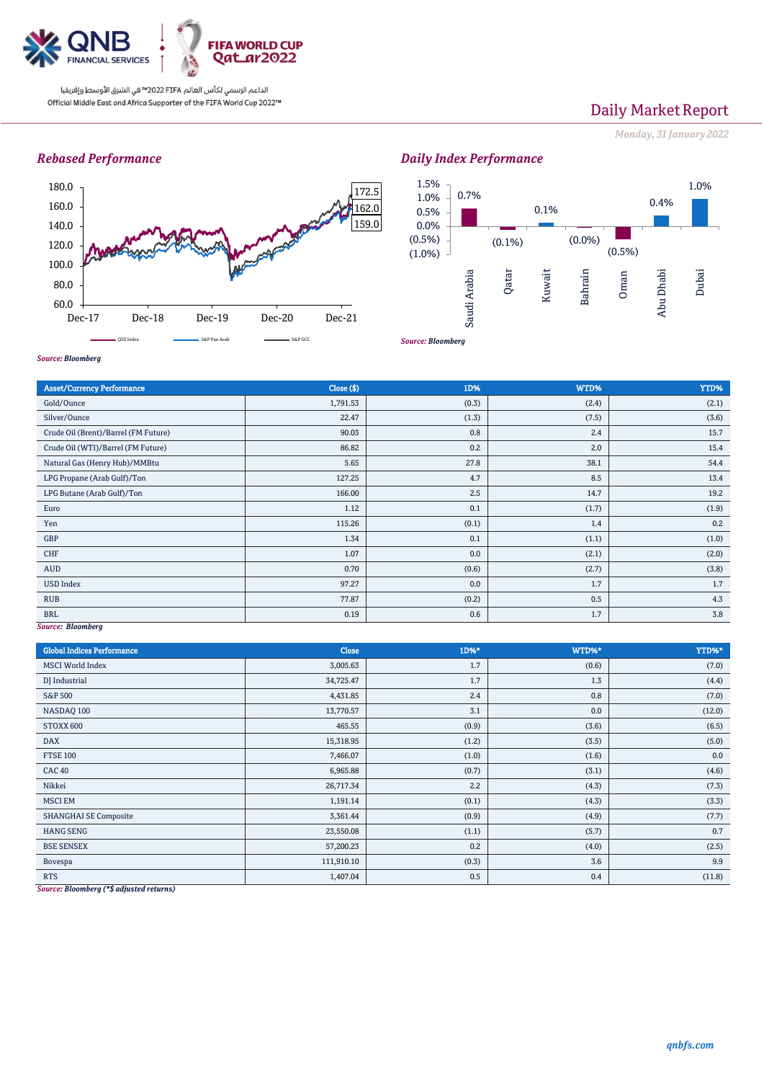

الداعم الرسمي لكأس العالم PIFA™ في الشرق الأوسط وإفريقيا Official Middle East and Africa Supporter of the FIFA World Cup 2022™

# Daily Market Report

*Monday, 31 January 2022*

## *Rebased Performance*





*Source: Bloomberg*

| <b>Asset/Currency Performance</b>    | Close ( \$) | 1D%   | WTD%  | YTD%  |  |  |
|--------------------------------------|-------------|-------|-------|-------|--|--|
| Gold/Ounce                           | 1,791.53    | (0.3) | (2.4) | (2.1) |  |  |
| Silver/Ounce                         | 22.47       | (1.3) | (7.5) | (3.6) |  |  |
| Crude Oil (Brent)/Barrel (FM Future) | 90.03       | 0.8   | 2.4   | 15.7  |  |  |
| Crude Oil (WTI)/Barrel (FM Future)   | 86.82       | 0.2   | 2.0   | 15.4  |  |  |
| Natural Gas (Henry Hub)/MMBtu        | 5.65        | 27.8  | 38.1  | 54.4  |  |  |
| LPG Propane (Arab Gulf)/Ton          | 127.25      | 4.7   | 8.5   | 13.4  |  |  |
| LPG Butane (Arab Gulf)/Ton           | 166.00      | 2.5   | 14.7  | 19.2  |  |  |
| Euro                                 | 1.12        | 0.1   | (1.7) | (1.9) |  |  |
| Yen                                  | 115.26      | (0.1) | 1.4   | 0.2   |  |  |
| GBP                                  | 1.34        | 0.1   | (1.1) | (1.0) |  |  |
| CHF                                  | 1.07        | 0.0   | (2.1) | (2.0) |  |  |
| AUD                                  | 0.70        | (0.6) | (2.7) | (3.8) |  |  |
| <b>USD Index</b>                     | 97.27       | 0.0   | 1.7   | 1.7   |  |  |
| <b>RUB</b>                           | 77.87       | (0.2) | 0.5   | 4.3   |  |  |
| <b>BRL</b>                           | 0.19        | 0.6   | 1.7   | 3.8   |  |  |
| Source: Bloomberg                    |             |       |       |       |  |  |

| <b>Global Indices Performance</b> | <b>Close</b> | 1D%*  | WTD%* | YTD%*  |
|-----------------------------------|--------------|-------|-------|--------|
| <b>MSCI</b> World Index           | 3,005.63     | 1.7   | (0.6) | (7.0)  |
| DJ Industrial                     | 34,725.47    | 1.7   | 1.3   | (4.4)  |
| S&P 500                           | 4,431.85     | 2.4   | 0.8   | (7.0)  |
| NASDAQ 100                        | 13,770.57    | 3.1   | 0.0   | (12.0) |
| STOXX 600                         | 465.55       | (0.9) | (3.6) | (6.5)  |
| <b>DAX</b>                        | 15,318.95    | (1.2) | (3.5) | (5.0)  |
| <b>FTSE 100</b>                   | 7,466.07     | (1.0) | (1.6) | 0.0    |
| <b>CAC 40</b>                     | 6,965.88     | (0.7) | (3.1) | (4.6)  |
| Nikkei                            | 26,717.34    | 2.2   | (4.3) | (7.3)  |
| <b>MSCI EM</b>                    | 1,191.14     | (0.1) | (4.3) | (3.3)  |
| <b>SHANGHAI SE Composite</b>      | 3,361.44     | (0.9) | (4.9) | (7.7)  |
| <b>HANG SENG</b>                  | 23,550.08    | (1.1) | (5.7) | 0.7    |
| <b>BSE SENSEX</b>                 | 57,200.23    | 0.2   | (4.0) | (2.5)  |
| Bovespa                           | 111,910.10   | (0.3) | 3.6   | 9.9    |
| <b>RTS</b>                        | 1,407.04     | 0.5   | 0.4   | (11.8) |

*Source: Bloomberg (\*\$ adjusted returns)*